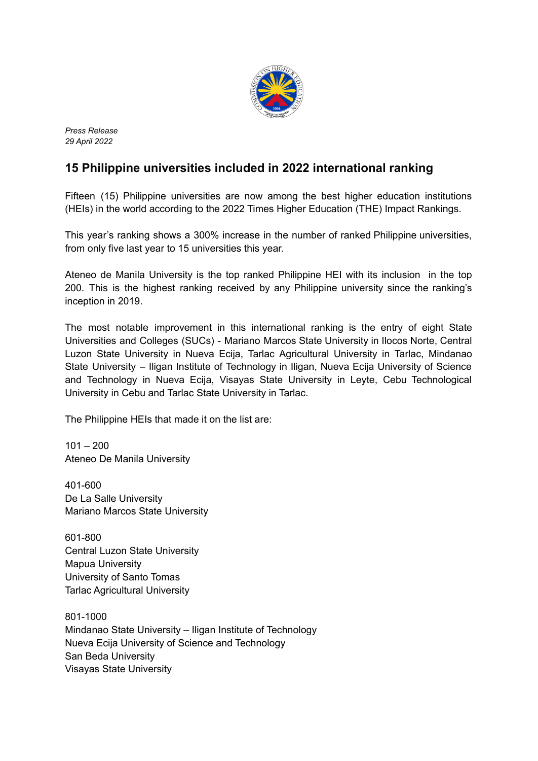

*Press Release 29 April 2022*

## **15 Philippine universities included in 2022 international ranking**

Fifteen (15) Philippine universities are now among the best higher education institutions (HEIs) in the world according to the 2022 Times Higher Education (THE) Impact Rankings.

This year's ranking shows a 300% increase in the number of ranked Philippine universities, from only five last year to 15 universities this year.

Ateneo de Manila University is the top ranked Philippine HEI with its inclusion in the top 200. This is the highest ranking received by any Philippine university since the ranking's inception in 2019.

The most notable improvement in this international ranking is the entry of eight State Universities and Colleges (SUCs) - Mariano Marcos State University in Ilocos Norte, Central Luzon State University in Nueva Ecija, Tarlac Agricultural University in Tarlac, Mindanao State University – Iligan Institute of Technology in Iligan, Nueva Ecija University of Science and Technology in Nueva Ecija, Visayas State University in Leyte, Cebu Technological University in Cebu and Tarlac State University in Tarlac.

The Philippine HEIs that made it on the list are:

 $101 - 200$ Ateneo De Manila University

401-600 De La Salle University Mariano Marcos State University

601-800 Central Luzon State University Mapua University University of Santo Tomas Tarlac Agricultural University

801-1000 Mindanao State University – Iligan Institute of Technology Nueva Ecija University of Science and Technology San Beda University Visayas State University